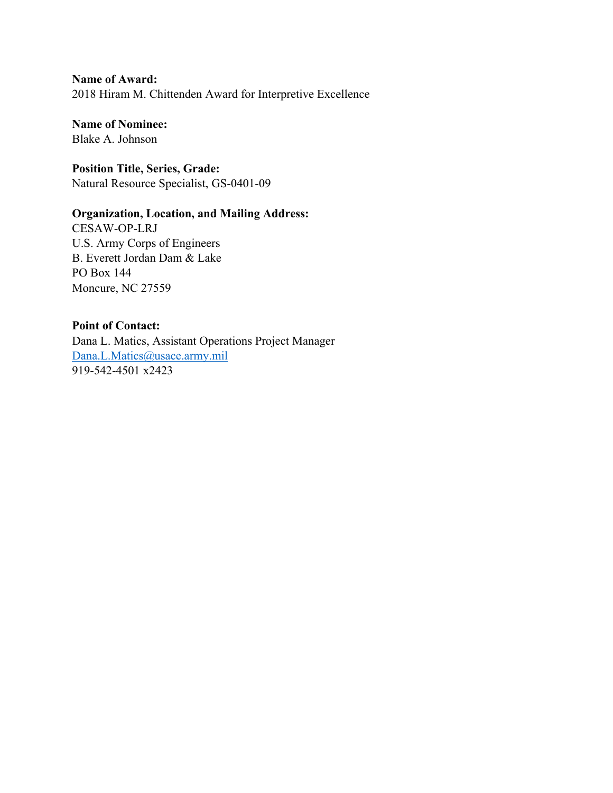**Name of Award:**  2018 Hiram M. Chittenden Award for Interpretive Excellence

**Name of Nominee:**  Blake A. Johnson

**Position Title, Series, Grade:**  Natural Resource Specialist, GS-0401-09

## **Organization, Location, and Mailing Address:**

CESAW-OP-LRJ U.S. Army Corps of Engineers B. Everett Jordan Dam & Lake PO Box 144 Moncure, NC 27559

#### **Point of Contact:**

Dana L. Matics, Assistant Operations Project Manager Dana.L.Matics@usace.army.mil 919-542-4501 x2423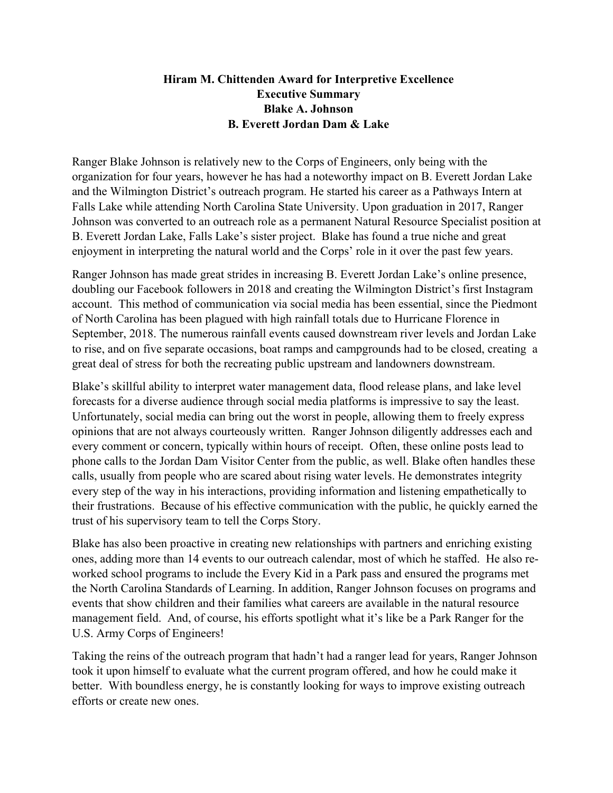# **Hiram M. Chittenden Award for Interpretive Excellence Executive Summary Blake A. Johnson B. Everett Jordan Dam & Lake**

Ranger Blake Johnson is relatively new to the Corps of Engineers, only being with the organization for four years, however he has had a noteworthy impact on B. Everett Jordan Lake and the Wilmington District's outreach program. He started his career as a Pathways Intern at Falls Lake while attending North Carolina State University. Upon graduation in 2017, Ranger Johnson was converted to an outreach role as a permanent Natural Resource Specialist position at B. Everett Jordan Lake, Falls Lake's sister project. Blake has found a true niche and great enjoyment in interpreting the natural world and the Corps' role in it over the past few years.

Ranger Johnson has made great strides in increasing B. Everett Jordan Lake's online presence, doubling our Facebook followers in 2018 and creating the Wilmington District's first Instagram account. This method of communication via social media has been essential, since the Piedmont of North Carolina has been plagued with high rainfall totals due to Hurricane Florence in September, 2018. The numerous rainfall events caused downstream river levels and Jordan Lake to rise, and on five separate occasions, boat ramps and campgrounds had to be closed, creating a great deal of stress for both the recreating public upstream and landowners downstream.

Blake's skillful ability to interpret water management data, flood release plans, and lake level forecasts for a diverse audience through social media platforms is impressive to say the least. Unfortunately, social media can bring out the worst in people, allowing them to freely express opinions that are not always courteously written. Ranger Johnson diligently addresses each and every comment or concern, typically within hours of receipt. Often, these online posts lead to phone calls to the Jordan Dam Visitor Center from the public, as well. Blake often handles these calls, usually from people who are scared about rising water levels. He demonstrates integrity every step of the way in his interactions, providing information and listening empathetically to their frustrations. Because of his effective communication with the public, he quickly earned the trust of his supervisory team to tell the Corps Story.

Blake has also been proactive in creating new relationships with partners and enriching existing ones, adding more than 14 events to our outreach calendar, most of which he staffed. He also reworked school programs to include the Every Kid in a Park pass and ensured the programs met the North Carolina Standards of Learning. In addition, Ranger Johnson focuses on programs and events that show children and their families what careers are available in the natural resource management field. And, of course, his efforts spotlight what it's like be a Park Ranger for the U.S. Army Corps of Engineers!

Taking the reins of the outreach program that hadn't had a ranger lead for years, Ranger Johnson took it upon himself to evaluate what the current program offered, and how he could make it better. With boundless energy, he is constantly looking for ways to improve existing outreach efforts or create new ones.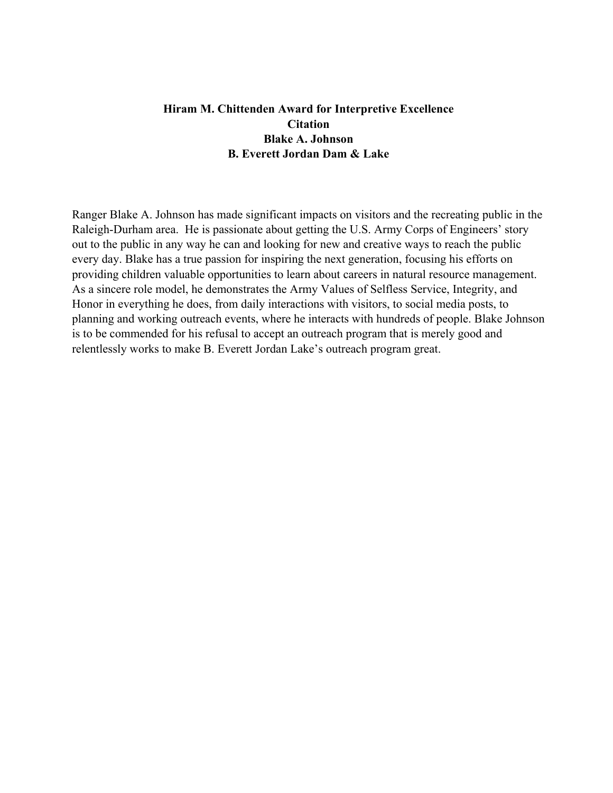## **Hiram M. Chittenden Award for Interpretive Excellence Citation Blake A. Johnson B. Everett Jordan Dam & Lake**

Ranger Blake A. Johnson has made significant impacts on visitors and the recreating public in the Raleigh-Durham area. He is passionate about getting the U.S. Army Corps of Engineers' story out to the public in any way he can and looking for new and creative ways to reach the public every day. Blake has a true passion for inspiring the next generation, focusing his efforts on providing children valuable opportunities to learn about careers in natural resource management. As a sincere role model, he demonstrates the Army Values of Selfless Service, Integrity, and Honor in everything he does, from daily interactions with visitors, to social media posts, to planning and working outreach events, where he interacts with hundreds of people. Blake Johnson is to be commended for his refusal to accept an outreach program that is merely good and relentlessly works to make B. Everett Jordan Lake's outreach program great.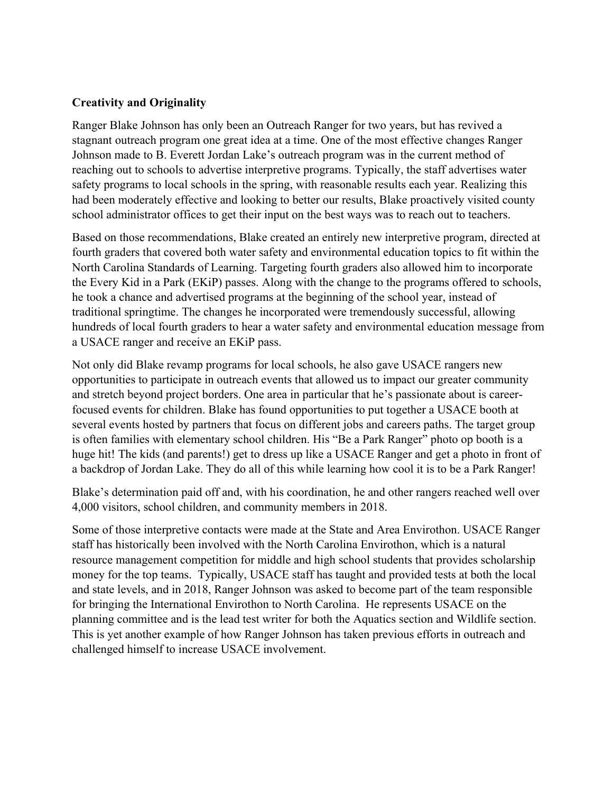#### **Creativity and Originality**

Ranger Blake Johnson has only been an Outreach Ranger for two years, but has revived a stagnant outreach program one great idea at a time. One of the most effective changes Ranger Johnson made to B. Everett Jordan Lake's outreach program was in the current method of reaching out to schools to advertise interpretive programs. Typically, the staff advertises water safety programs to local schools in the spring, with reasonable results each year. Realizing this had been moderately effective and looking to better our results, Blake proactively visited county school administrator offices to get their input on the best ways was to reach out to teachers.

Based on those recommendations, Blake created an entirely new interpretive program, directed at fourth graders that covered both water safety and environmental education topics to fit within the North Carolina Standards of Learning. Targeting fourth graders also allowed him to incorporate the Every Kid in a Park (EKiP) passes. Along with the change to the programs offered to schools, he took a chance and advertised programs at the beginning of the school year, instead of traditional springtime. The changes he incorporated were tremendously successful, allowing hundreds of local fourth graders to hear a water safety and environmental education message from a USACE ranger and receive an EKiP pass.

Not only did Blake revamp programs for local schools, he also gave USACE rangers new opportunities to participate in outreach events that allowed us to impact our greater community and stretch beyond project borders. One area in particular that he's passionate about is careerfocused events for children. Blake has found opportunities to put together a USACE booth at several events hosted by partners that focus on different jobs and careers paths. The target group is often families with elementary school children. His "Be a Park Ranger" photo op booth is a huge hit! The kids (and parents!) get to dress up like a USACE Ranger and get a photo in front of a backdrop of Jordan Lake. They do all of this while learning how cool it is to be a Park Ranger!

Blake's determination paid off and, with his coordination, he and other rangers reached well over 4,000 visitors, school children, and community members in 2018.

Some of those interpretive contacts were made at the State and Area Envirothon. USACE Ranger staff has historically been involved with the North Carolina Envirothon, which is a natural resource management competition for middle and high school students that provides scholarship money for the top teams. Typically, USACE staff has taught and provided tests at both the local and state levels, and in 2018, Ranger Johnson was asked to become part of the team responsible for bringing the International Envirothon to North Carolina. He represents USACE on the planning committee and is the lead test writer for both the Aquatics section and Wildlife section. This is yet another example of how Ranger Johnson has taken previous efforts in outreach and challenged himself to increase USACE involvement.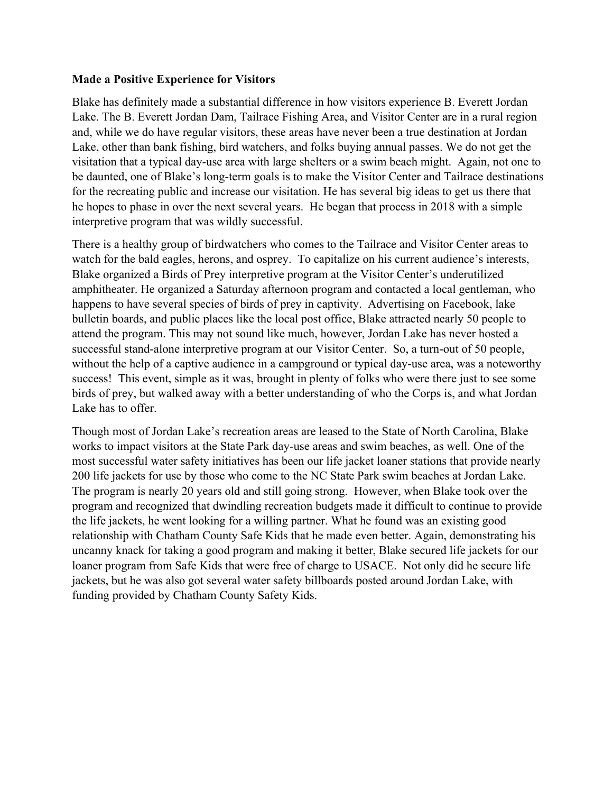#### **Made a Positive Experience for Visitors**

Blake has definitely made a substantial difference in how visitors experience B. Everett Jordan Lake. The B. Everett Jordan Dam, Tailrace Fishing Area, and Visitor Center are in a rural region and, while we do have regular visitors, these areas have never been a true destination at Jordan Lake, other than bank fishing, bird watchers, and folks buying annual passes. We do not get the visitation that a typical day-use area with large shelters or a swim beach might. Again, not one to be daunted, one of Blake's long-term goals is to make the Visitor Center and Tailrace destinations for the recreating public and increase our visitation. He has several big ideas to get us there that he hopes to phase in over the next several years. He began that process in 2018 with a simple interpretive program that was wildly successful.

There is a healthy group of birdwatchers who comes to the Tailrace and Visitor Center areas to watch for the bald eagles, herons, and osprey. To capitalize on his current audience's interests, Blake organized a Birds of Prey interpretive program at the Visitor Center's underutilized amphitheater. He organized a Saturday afternoon program and contacted a local gentleman, who happens to have several species of birds of prey in captivity. Advertising on Facebook, lake bulletin boards, and public places like the local post office, Blake attracted nearly 50 people to attend the program. This may not sound like much, however, Jordan Lake has never hosted a successful stand-alone interpretive program at our Visitor Center. So, a turn-out of 50 people, without the help of a captive audience in a campground or typical day-use area, was a noteworthy success! This event, simple as it was, brought in plenty of folks who were there just to see some birds of prey, but walked away with a better understanding of who the Corps is, and what Jordan Lake has to offer.

Though most of Jordan Lake's recreation areas are leased to the State of North Carolina, Blake works to impact visitors at the State Park day-use areas and swim beaches, as well. One of the most successful water safety initiatives has been our life jacket loaner stations that provide nearly 200 life jackets for use by those who come to the NC State Park swim beaches at Jordan Lake. The program is nearly 20 years old and still going strong. However, when Blake took over the program and recognized that dwindling recreation budgets made it difficult to continue to provide the life jackets, he went looking for a willing partner. What he found was an existing good relationship with Chatham County Safe Kids that he made even better. Again, demonstrating his uncanny knack for taking a good program and making it better, Blake secured life jackets for our loaner program from Safe Kids that were free of charge to USACE. Not only did he secure life jackets, but he was also got several water safety billboards posted around Jordan Lake, with funding provided by Chatham County Safety Kids.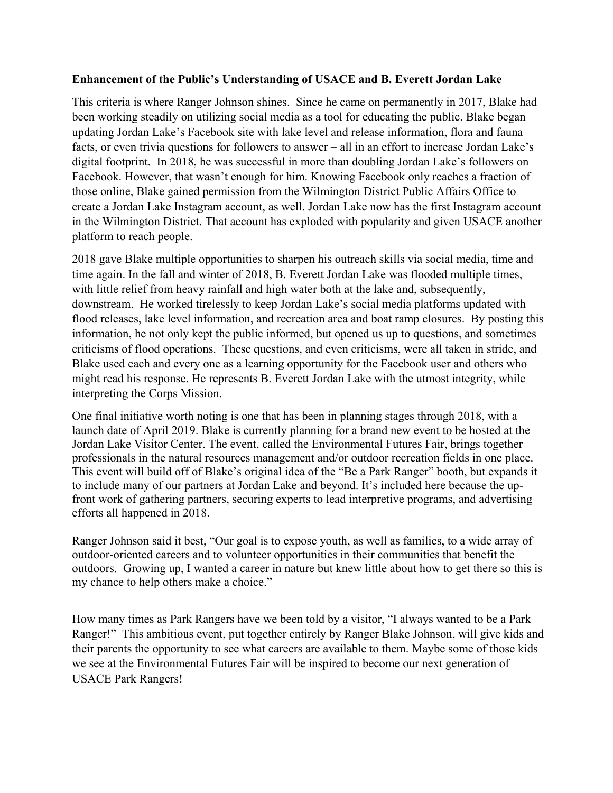#### **Enhancement of the Public's Understanding of USACE and B. Everett Jordan Lake**

This criteria is where Ranger Johnson shines. Since he came on permanently in 2017, Blake had been working steadily on utilizing social media as a tool for educating the public. Blake began updating Jordan Lake's Facebook site with lake level and release information, flora and fauna facts, or even trivia questions for followers to answer – all in an effort to increase Jordan Lake's digital footprint. In 2018, he was successful in more than doubling Jordan Lake's followers on Facebook. However, that wasn't enough for him. Knowing Facebook only reaches a fraction of those online, Blake gained permission from the Wilmington District Public Affairs Office to create a Jordan Lake Instagram account, as well. Jordan Lake now has the first Instagram account in the Wilmington District. That account has exploded with popularity and given USACE another platform to reach people.

2018 gave Blake multiple opportunities to sharpen his outreach skills via social media, time and time again. In the fall and winter of 2018, B. Everett Jordan Lake was flooded multiple times, with little relief from heavy rainfall and high water both at the lake and, subsequently, downstream. He worked tirelessly to keep Jordan Lake's social media platforms updated with flood releases, lake level information, and recreation area and boat ramp closures. By posting this information, he not only kept the public informed, but opened us up to questions, and sometimes criticisms of flood operations. These questions, and even criticisms, were all taken in stride, and Blake used each and every one as a learning opportunity for the Facebook user and others who might read his response. He represents B. Everett Jordan Lake with the utmost integrity, while interpreting the Corps Mission.

One final initiative worth noting is one that has been in planning stages through 2018, with a launch date of April 2019. Blake is currently planning for a brand new event to be hosted at the Jordan Lake Visitor Center. The event, called the Environmental Futures Fair, brings together professionals in the natural resources management and/or outdoor recreation fields in one place. This event will build off of Blake's original idea of the "Be a Park Ranger" booth, but expands it to include many of our partners at Jordan Lake and beyond. It's included here because the upfront work of gathering partners, securing experts to lead interpretive programs, and advertising efforts all happened in 2018.

Ranger Johnson said it best, "Our goal is to expose youth, as well as families, to a wide array of outdoor-oriented careers and to volunteer opportunities in their communities that benefit the outdoors. Growing up, I wanted a career in nature but knew little about how to get there so this is my chance to help others make a choice."

How many times as Park Rangers have we been told by a visitor, "I always wanted to be a Park Ranger!" This ambitious event, put together entirely by Ranger Blake Johnson, will give kids and their parents the opportunity to see what careers are available to them. Maybe some of those kids we see at the Environmental Futures Fair will be inspired to become our next generation of USACE Park Rangers!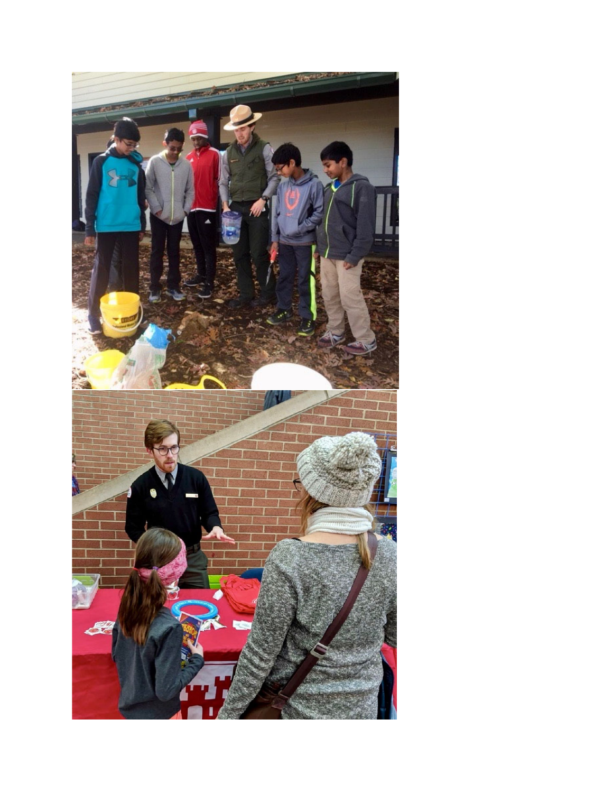